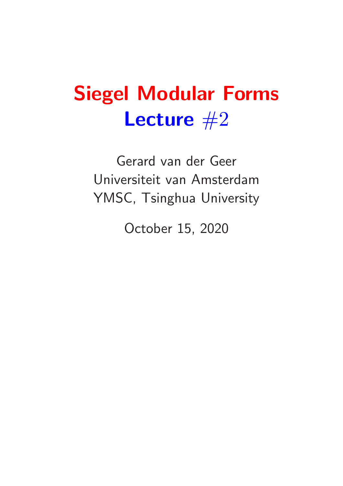# Siegel Modular Forms Lecture  $#2$

Gerard van der Geer Universiteit van Amsterdam YMSC, Tsinghua University

October 15, 2020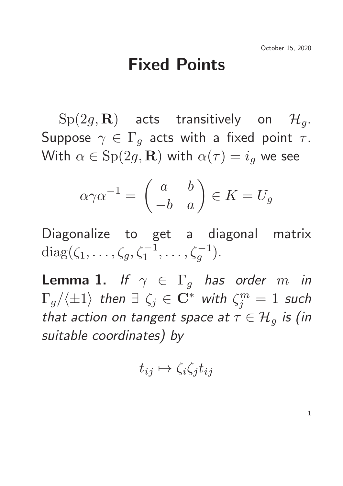# Fixed Points

 $\text{Sp}(2g,\mathbf{R})$  acts transitively on  $\mathcal{H}_q$ . Suppose  $\gamma \in \Gamma_q$  acts with a fixed point  $\tau$ . With  $\alpha \in \mathrm{Sp}(2g,\mathbf{R})$  with  $\alpha(\tau) = i_q$  we see

$$
\alpha \gamma \alpha^{-1} = \begin{pmatrix} a & b \\ -b & a \end{pmatrix} \in K = U_g
$$

Diagonalize to get a diagonal matrix diag( $\zeta_1, \ldots, \zeta_g, \zeta_1^{-1}, \ldots, \zeta_g^{-1}$ ).

**Lemma 1.** If  $\gamma \in \Gamma_q$  has order m in  $\Gamma_g/\langle \pm 1\rangle$  then  $\exists\;\zeta_j\in{\bf C}^*$  with  $\zeta_j^m=1$  such that action on tangent space at  $\tau \in \mathcal{H}_q$  is (in suitable coordinates) by

$$
t_{ij}\mapsto \zeta_i\zeta_j t_{ij}
$$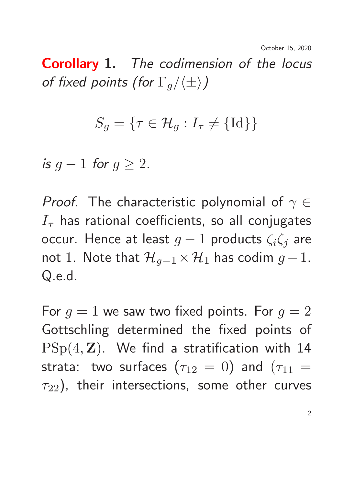Corollary 1. The codimension of the locus of fixed points (for  $\Gamma_q/\langle\pm\rangle$ )

$$
S_g = \{ \tau \in \mathcal{H}_g : I_\tau \neq \{\mathrm{Id}\} \}
$$

is  $g - 1$  for  $g \geq 2$ .

*Proof.* The characteristic polynomial of  $\gamma \in$  $I<sub>\tau</sub>$  has rational coefficients, so all conjugates occur. Hence at least  $g-1$  products  $\zeta_i\zeta_j$  are not 1. Note that  $\mathcal{H}_{g-1}\times\mathcal{H}_1$  has codim  $g-1$ . Q.e.d.

For  $g = 1$  we saw two fixed points. For  $g = 2$ Gottschling determined the fixed points of  $PSp(4, Z)$ . We find a stratification with 14 strata: two surfaces  $(\tau_{12} = 0)$  and  $(\tau_{11} =$  $\tau_{22}$ ), their intersections, some other curves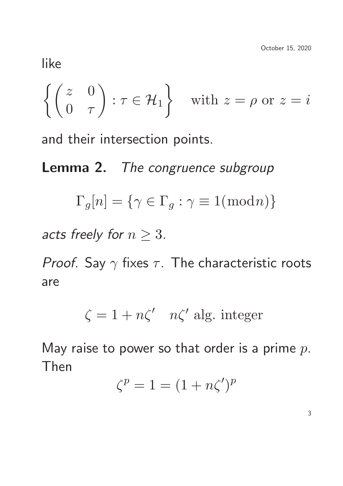like

$$
\left\{ \begin{pmatrix} z & 0 \\ 0 & \tau \end{pmatrix} : \tau \in \mathcal{H}_1 \right\} \quad \text{with } z = \rho \text{ or } z = i
$$

and their intersection points.

Lemma 2. The congruence subgroup

$$
\Gamma_g[n] = \{ \gamma \in \Gamma_g : \gamma \equiv 1(\bmod n) \}
$$

acts freely for  $n \geq 3$ .

*Proof.* Say  $\gamma$  fixes  $\tau$ . The characteristic roots are

 $\zeta = 1 + n\zeta'$   $n\zeta'$  alg. integer

May raise to power so that order is a prime  $p$ . Then

$$
\zeta^p = 1 = (1 + n\zeta')^p
$$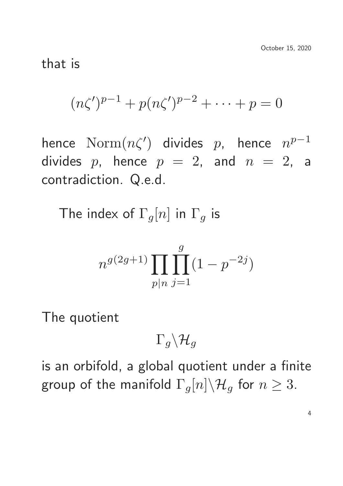that is

$$
(n\zeta')^{p-1} + p(n\zeta')^{p-2} + \dots + p = 0
$$

hence  $\mathrm{Norm}(n\zeta')$  divides  $p$ , hence  $n^{p-1}$ divides  $p$ , hence  $p = 2$ , and  $n = 2$ , a contradiction. Q.e.d.

The index of  $\Gamma_q[n]$  in  $\Gamma_q$  is

$$
n^{g(2g+1)} \prod_{p|n} \prod_{j=1}^{g} (1 - p^{-2j})
$$

The quotient

$$
\Gamma_g \backslash \mathcal{H}_g
$$

is an orbifold, a global quotient under a finite group of the manifold  $\Gamma_g[n]\backslash \mathcal{H}_g$  for  $n\geq 3$ .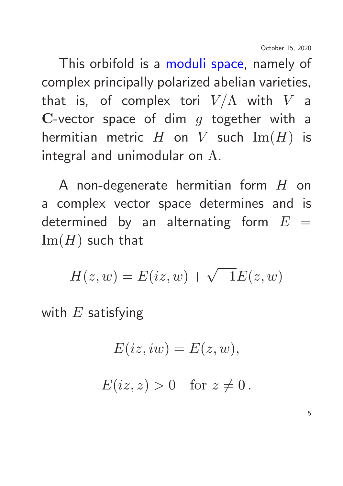This orbifold is a moduli space, namely of complex principally polarized abelian varieties, that is, of complex tori  $V/\Lambda$  with  $V$  a C-vector space of dim  $g$  together with a hermitian metric  $H$  on  $V$  such  $\text{Im}(H)$  is integral and unimodular on  $\Lambda$ .

A non-degenerate hermitian form  $H$  on a complex vector space determines and is determined by an alternating form  $E =$  $\text{Im}(H)$  such that

$$
H(z, w) = E(iz, w) + \sqrt{-1}E(z, w)
$$

with  $E$  satisfying

$$
E(iz, iw) = E(z, w),
$$
  

$$
E(iz, z) > 0 \text{ for } z \neq 0.
$$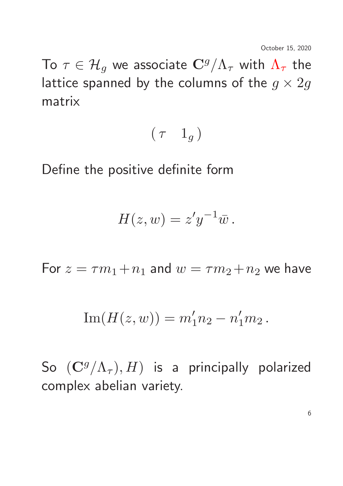To  $\tau \in \mathcal{H}_q$  we associate  $\mathbf{C}^g/\Lambda_\tau$  with  $\Lambda_\tau$  the lattice spanned by the columns of the  $g \times 2g$ matrix

$$
(\hspace{0.05cm} \tau \hspace{0.05cm} 1_g \hspace{0.05cm})
$$

Define the positive definite form

$$
H(z, w) = z'y^{-1}\overline{w}.
$$

For  $z = \tau m_1 + n_1$  and  $w = \tau m_2 + n_2$  we have

Im
$$
(H(z, w)) = m'_1 n_2 - n'_1 m_2
$$
.

So  $(\mathbf{C}^g/\Lambda_\tau), H)$  is a principally polarized complex abelian variety.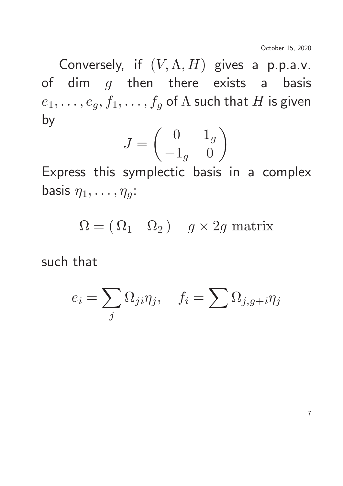Conversely, if  $(V, \Lambda, H)$  gives a p.p.a.v. of dim  $g$  then there exists a basis  $e_1, \ldots, e_g, f_1, \ldots, f_g$  of  $\Lambda$  such that  $H$  is given by

$$
J = \begin{pmatrix} 0 & 1_g \\ -1_g & 0 \end{pmatrix}
$$

Express this symplectic basis in a complex basis  $\eta_1, \ldots, \eta_g$ :

$$
\Omega = (\Omega_1 \quad \Omega_2) \quad g \times 2g \text{ matrix}
$$

such that

$$
e_i = \sum_j \Omega_{ji} \eta_j, \quad f_i = \sum_j \Omega_{j,g+i} \eta_j
$$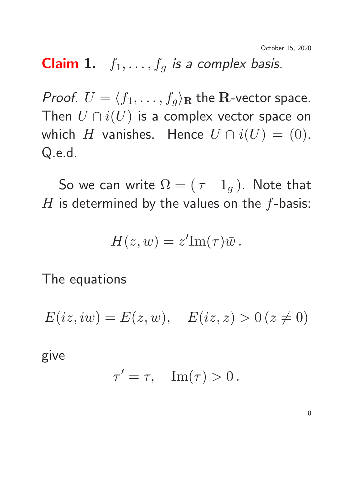# **Claim 1.**  $f_1, \ldots, f_g$  is a complex basis.

*Proof.*  $U = \langle f_1, \ldots, f_g \rangle_R$  the R-vector space. Then  $U \cap i(U)$  is a complex vector space on which H vanishes. Hence  $U \cap i(U) = (0)$ . Q.e.d.

So we can write  $\Omega = (\tau \t_1)^T$ . Note that  $H$  is determined by the values on the  $f$ -basis:

$$
H(z, w) = z' \text{Im}(\tau) \bar{w} .
$$

The equations

 $E(iz, iw) = E(z, w), \quad E(iz, z) > 0 \ (z \neq 0)$ 

give

$$
\tau' = \tau, \quad \text{Im}(\tau) > 0 \,.
$$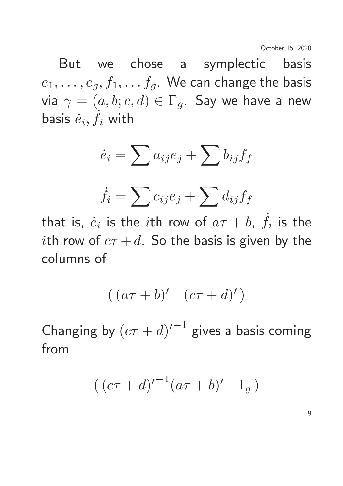But we chose a symplectic basis  $e_1, \ldots, e_g, f_1, \ldots, f_g$ . We can change the basis via  $\gamma = (a, b; c, d) \in \Gamma_g$ . Say we have a new basis  $\dot{e}_i, \dot{f}_i$  with

$$
\dot{e}_i = \sum a_{ij} e_j + \sum b_{ij} f_f
$$

$$
\dot{f}_i = \sum c_{ij} e_j + \sum d_{ij} f_f
$$

that is,  $\dot{e}_i$  is the  $i$ th row of  $a\tau+b$ ,  $\dot{f}_i$  is the ith row of  $c\tau + d$ . So the basis is given by the columns of

$$
(\,(a\tau+b)'\quad(c\tau+d)'\,)
$$

Changing by  $(c\tau + d)^{\prime - 1}$  gives a basis coming from

$$
((c\tau + d)^{r-1}(a\tau + b)^r \quad 1_g)
$$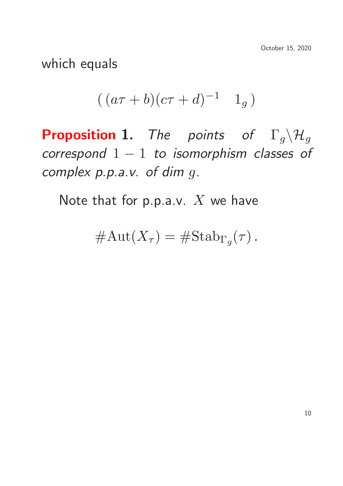which equals

$$
((a\tau + b)(c\tau + d)^{-1} \quad 1_g)
$$

**Proposition 1.** The points of  $\Gamma_q \backslash \mathcal{H}_q$ correspond  $1 - 1$  to isomorphism classes of complex p.p.a.v. of dim g.

Note that for  $p.p.a.v.$  X we have

$$
\#\mathrm{Aut}(X_{\tau})=\#\mathrm{Stab}_{\Gamma_g}(\tau)\,.
$$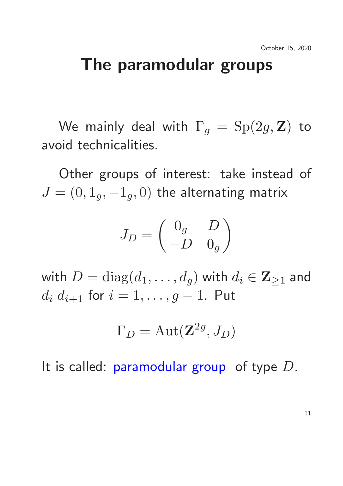### The paramodular groups

We mainly deal with  $\Gamma_g = \text{Sp}(2g, \mathbf{Z})$  to avoid technicalities.

Other groups of interest: take instead of  $J = (0, 1<sub>g</sub>, -1<sub>g</sub>, 0)$  the alternating matrix

$$
J_D = \begin{pmatrix} 0_g & D \\ -D & 0_g \end{pmatrix}
$$

with  $D = diag(d_1, \ldots, d_q)$  with  $d_i \in \mathbf{Z}_{\geq 1}$  and  $d_i|d_{i+1}$  for  $i=1,\ldots,g-1$ . Put

$$
\Gamma_D = \mathrm{Aut}(\mathbf{Z}^{2g}, J_D)
$$

It is called: paramodular group of type  $D$ .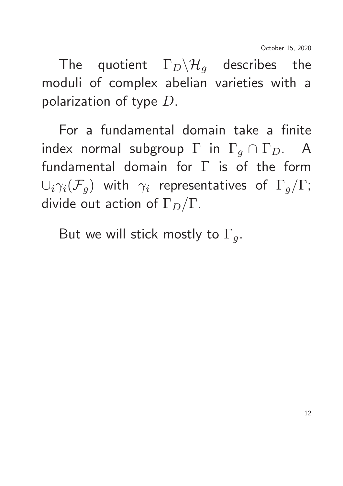The quotient  $\Gamma_D \backslash \mathcal{H}_g$  describes the moduli of complex abelian varieties with a polarization of type  $D$ .

For a fundamental domain take a finite index normal subgroup  $\Gamma$  in  $\Gamma_q \cap \Gamma_D$ . A fundamental domain for  $\Gamma$  is of the form  $\cup_i \gamma_i(\mathcal{F}_q)$  with  $\gamma_i$  representatives of  $\Gamma_q/\Gamma$ ; divide out action of  $\Gamma_D/\Gamma$ .

But we will stick mostly to  $\Gamma_q$ .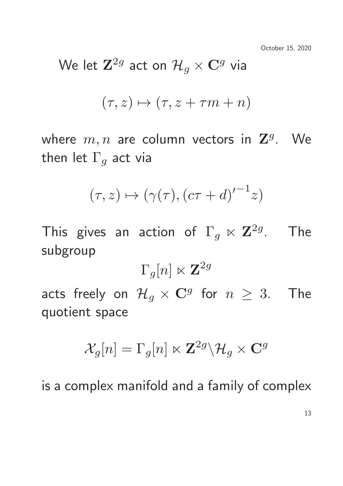# We let  $\mathbf{Z}^{2g}$  act on  $\mathcal{H}_g \times \mathbf{C}^g$  via

$$
(\tau, z) \mapsto (\tau, z + \tau m + n)
$$

where  $m, n$  are column vectors in  $\mathbf{Z}^{g}$ . We then let  $\Gamma_q$  act via

$$
(\tau, z) \mapsto (\gamma(\tau), (c\tau + d)^{\prime - 1} z)
$$

This gives an action of  $\Gamma_g \ltimes \mathbf{Z}^{2g}$ . The subgroup

$$
\Gamma_g[n]\ltimes {\mathbf Z}^{2g}
$$

acts freely on  $\mathcal{H}_g \times \mathbf{C}^g$  for  $n \geq 3$ . The quotient space

$$
\mathcal{X}_{g}[n] = \Gamma_{g}[n] \ltimes \mathbf{Z}^{2g} \backslash \mathcal{H}_{g} \times \mathbf{C}^{g}
$$

is a complex manifold and a family of complex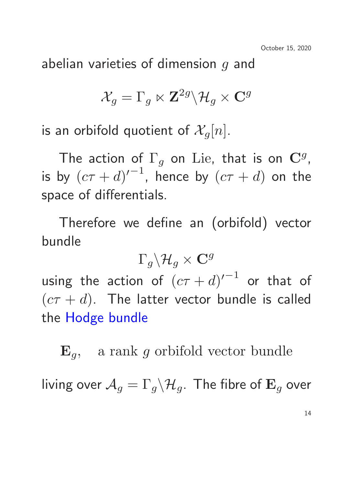abelian varieties of dimension  $q$  and

$$
\mathcal{X}_g = \Gamma_g \ltimes \mathbf{Z}^{2g} \backslash \mathcal{H}_g \times \mathbf{C}^g
$$

is an orbifold quotient of  $\mathcal{X}_q[n]$ .

The action of  $\Gamma_g$  on Lie, that is on  $\mathbf{C}^g$ , is by  $(c\tau+d)^{\prime-1}$ , hence by  $(c\tau+d)$  on the space of differentials.

Therefore we define an (orbifold) vector bundle

 $\Gamma_q \backslash \mathcal{H}_q \times \mathbf{C}^g$ 

using the action of  $(c\tau+d)^{\prime-1}$  or that of  $(c\tau + d)$ . The latter vector bundle is called the Hodge bundle

 $\mathbf{E}_q$ , a rank g orbifold vector bundle living over  $A_q = \Gamma_q \backslash \mathcal{H}_q$ . The fibre of  $\mathbf{E}_q$  over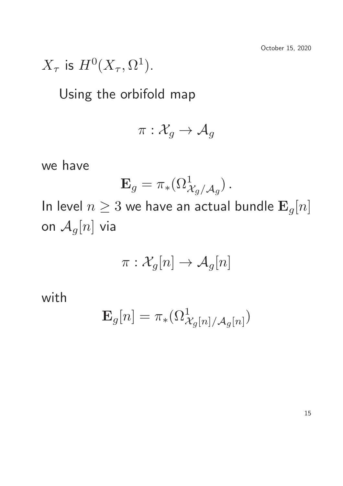$$
X_{\tau} \text{ is } H^0(X_{\tau}, \Omega^1).
$$

Using the orbifold map

$$
\pi: \mathcal{X}_{g} \to \mathcal{A}_{g}
$$

we have

$$
\mathbf{E}_g = \pi_* (\Omega^1_{\mathcal{X}_g/\mathcal{A}_g})\,.
$$

In level  $n \geq 3$  we have an actual bundle  $\mathbf{E}_g[n]$ on  $\mathcal{A}_g[n]$  via

$$
\pi: \mathcal{X}_g[n] \to \mathcal{A}_g[n]
$$

with

$$
\mathbf{E}_g[n] = \pi_*(\Omega^1_{\mathcal{X}_g[n]/\mathcal{A}_g[n]})
$$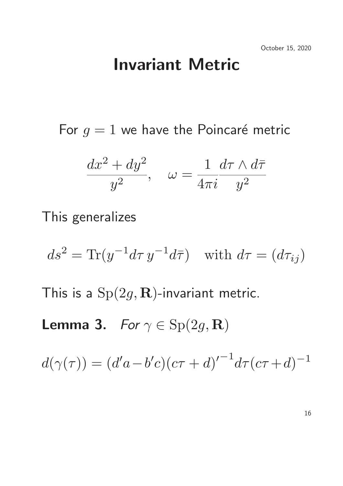### Invariant Metric

For  $g = 1$  we have the Poincaré metric

$$
\frac{dx^2 + dy^2}{y^2}, \quad \omega = \frac{1}{4\pi i} \frac{d\tau \wedge d\bar{\tau}}{y^2}
$$

This generalizes

$$
ds^2 = \text{Tr}(y^{-1}d\tau y^{-1}d\bar{\tau}) \quad \text{with } d\tau = (d\tau_{ij})
$$

This is a  $Sp(2g,{\bf R})$ -invariant metric.

**Lemma 3.** For  $\gamma \in \text{Sp}(2g, \mathbf{R})$ 

 $d(\gamma(\tau)) = (d'a - b'c)(c\tau + d)$  $, -1$  $d\tau (c\tau+d)^{-1}$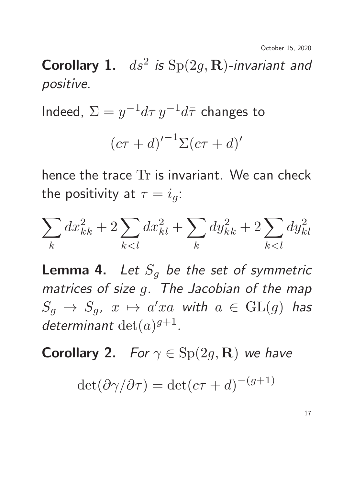Corollary 1.  $ds^2$  is  $Sp(2g,R)$ -invariant and positive.

Indeed,  $\Sigma = y^{-1} d\tau \, y^{-1} d\bar{\tau}$  changes to

$$
(c\tau + d)'^{-1}\Sigma(c\tau + d)'
$$

hence the trace Tr is invariant. We can check the positivity at  $\tau = i_q$ :

$$
\sum_{k} dx_{kk}^{2} + 2 \sum_{k < l} dx_{kl}^{2} + \sum_{k} dy_{kk}^{2} + 2 \sum_{k < l} dy_{kl}^{2}
$$

**Lemma 4.** Let  $S_q$  be the set of symmetric matrices of size g. The Jacobian of the map  $S_g \rightarrow S_g$ ,  $x \mapsto a'xa$  with  $a \in GL(g)$  has determinant  $\det(a)^{g+1}$ .

**Corollary 2.** For  $\gamma \in \text{Sp}(2g, \mathbf{R})$  we have

 $\det(\partial \gamma / \partial \tau) = \det(c\tau + d)^{-(g+1)}$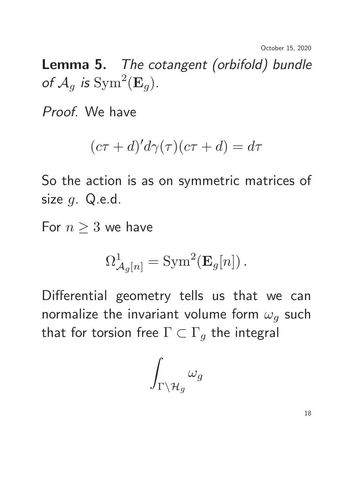Lemma 5. The cotangent (orbifold) bundle of  $\mathcal{A}_g$  is  $\text{Sym}^2(\mathbf{E}_g)$ .

Proof. We have

$$
(c\tau + d)'d\gamma(\tau)(c\tau + d) = d\tau
$$

So the action is as on symmetric matrices of size  $g$ . Q.e.d.

For  $n \geq 3$  we have

$$
\Omega^1_{\mathcal{A}_g[n]} = \text{Sym}^2(\mathbf{E}_g[n])\,.
$$

Differential geometry tells us that we can normalize the invariant volume form  $\omega_q$  such that for torsion free  $\Gamma \subset \Gamma_q$  the integral

$$
\int_{\Gamma\backslash \mathcal{H}_g}\omega_g
$$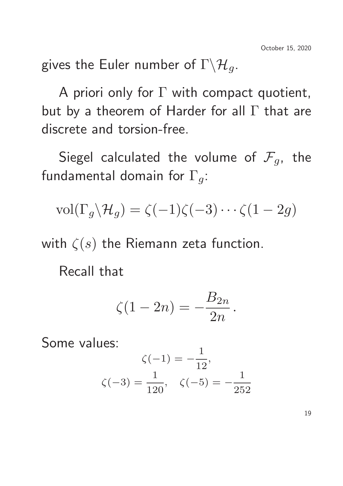gives the Euler number of  $\Gamma \backslash \mathcal{H}_g$ .

A priori only for  $\Gamma$  with compact quotient, but by a theorem of Harder for all  $\Gamma$  that are discrete and torsion-free.

Siegel calculated the volume of  $\mathcal{F}_q$ , the fundamental domain for  $\Gamma_g$ :

$$
\text{vol}(\Gamma_g \backslash \mathcal{H}_g) = \zeta(-1)\zeta(-3)\cdots\zeta(1-2g)
$$

with  $\zeta(s)$  the Riemann zeta function.

Recall that

$$
\zeta(1-2n)=-\frac{B_{2n}}{2n}.
$$

Some values:

$$
\zeta(-1) = -\frac{1}{12},
$$
  

$$
\zeta(-3) = \frac{1}{120}, \quad \zeta(-5) = -\frac{1}{252}
$$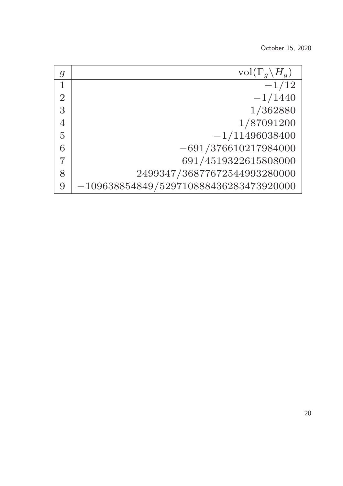| $\overline{g}$ | $vol(\Gamma_q \backslash H_q)$           |
|----------------|------------------------------------------|
|                | $-1/12$                                  |
| $\overline{2}$ | $-1/1440$                                |
| 3              | 1/362880                                 |
| $\overline{4}$ | 1/87091200                               |
| $\overline{5}$ | $-1/11496038400$                         |
| 6              | $-691/376610217984000$                   |
| 7              | 691/4519322615808000                     |
| 8              | 2499347/36877672544993280000             |
| 9              | $-109638854849/529710888436283473920000$ |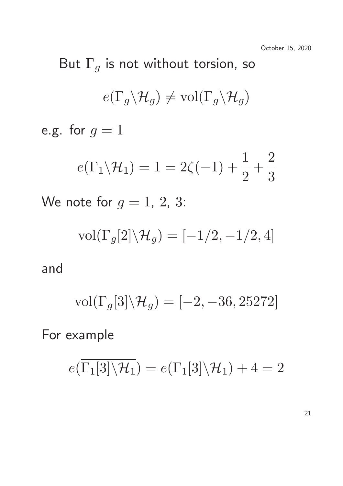But  $\Gamma_g$  is not without torsion, so  $e(\Gamma_a \backslash \mathcal{H}_a) \neq \text{vol}(\Gamma_a \backslash \mathcal{H}_a)$ e.g. for  $g = 1$  $e(\Gamma_1\backslash\mathcal{H}_1)=1=2\zeta(-1)+\frac{1}{2}$ 2  $+$ 2 3 We note for  $g = 1, 2, 3$ :  $vol(\Gamma_a[2]\backslash\mathcal{H}_a) = [-1/2, -1/2, 4]$ 

and

$$
\text{vol}(\Gamma_g[3]\backslash\mathcal{H}_g)=[-2,-36,25272]
$$

For example

 $e(\overline{\Gamma_1[3]\setminus\mathcal{H}_1}) = e(\Gamma_1[3]\setminus\mathcal{H}_1) + 4 = 2$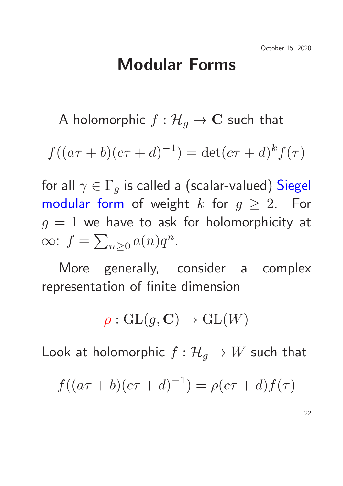#### Modular Forms

A holomorphic  $f: \mathcal{H}_q \to \mathbf{C}$  such that

 $f((a\tau+b)(c\tau+d)^{-1}) = \det(c\tau+d)^k f(\tau)$ 

for all  $\gamma \in \Gamma_q$  is called a (scalar-valued) Siegel modular form of weight k for  $g \geq 2$ . For  $g = 1$  we have to ask for holomorphicity at  $\infty$ :  $f = \sum_{n \geq 0} a(n)q^n$ .

More generally, consider a complex representation of finite dimension

$$
\rho: \operatorname{GL}(g,\mathbf{C}) \to \operatorname{GL}(W)
$$

Look at holomorphic  $f : \mathcal{H}_q \to W$  such that

$$
f((a\tau + b)(c\tau + d)^{-1}) = \rho(c\tau + d)f(\tau)
$$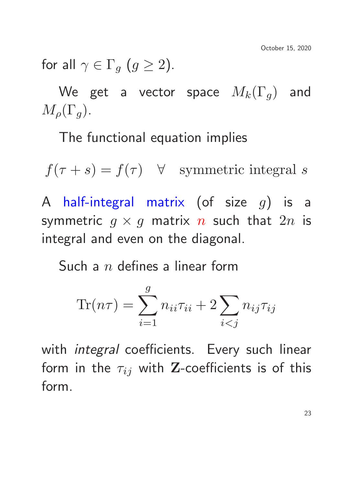for all  $\gamma \in \Gamma_q$   $(g \geq 2)$ .

We get a vector space  $M_k(\Gamma_q)$  and  $M_{\rho}(\Gamma_q)$ .

The functional equation implies

 $f(\tau + s) = f(\tau)$   $\forall$  symmetric integral s

A half-integral matrix (of size  $q$ ) is a symmetric  $g \times g$  matrix n such that  $2n$  is integral and even on the diagonal.

Such a  $n$  defines a linear form

$$
\text{Tr}(n\tau) = \sum_{i=1}^{g} n_{ii}\tau_{ii} + 2\sum_{i < j} n_{ij}\tau_{ij}
$$

with *integral* coefficients. Every such linear form in the  $\tau_{ij}$  with Z-coefficients is of this form.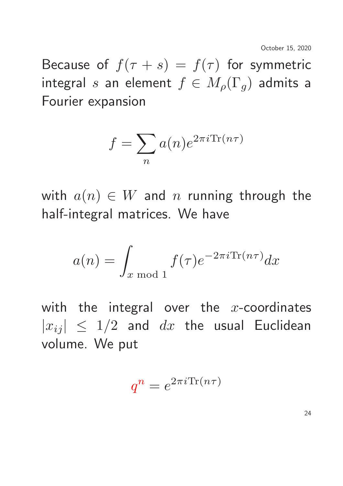Because of  $f(\tau + s) = f(\tau)$  for symmetric integral s an element  $f \in M_\rho(\Gamma_q)$  admits a Fourier expansion

$$
f = \sum_{n} a(n)e^{2\pi i \text{Tr}(n\tau)}
$$

with  $a(n) \in W$  and n running through the half-integral matrices. We have

$$
a(n) = \int_{x \bmod 1} f(\tau) e^{-2\pi i \text{Tr}(n\tau)} dx
$$

with the integral over the  $x$ -coordinates  $|x_{ij}| \leq 1/2$  and  $dx$  the usual Euclidean volume. We put

$$
q^n = e^{2\pi i \text{Tr}(n\tau)}
$$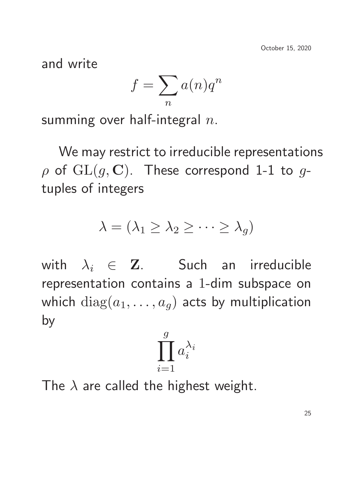and write

$$
f = \sum_{n} a(n)q^n
$$

summing over half-integral  $n$ .

We may restrict to irreducible representations  $\rho$  of  $GL(g, \mathbb{C})$ . These correspond 1-1 to gtuples of integers

$$
\lambda = (\lambda_1 \geq \lambda_2 \geq \cdots \geq \lambda_g)
$$

with  $\lambda_i \in \mathbf{Z}$ . Such an irreducible representation contains a 1-dim subspace on which  $diag(a_1, \ldots, a_q)$  acts by multiplication by

$$
\prod_{i=1}^{g} a_i^{\lambda_i}
$$

The  $\lambda$  are called the highest weight.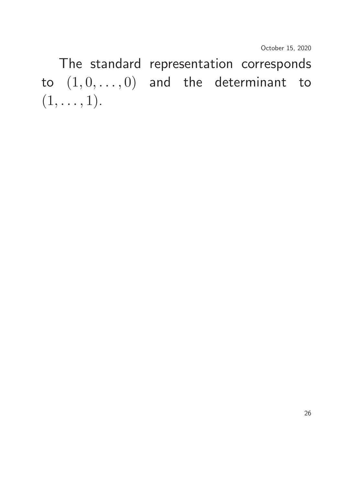The standard representation corresponds to  $(1, 0, \ldots, 0)$  and the determinant to  $(1, \ldots, 1).$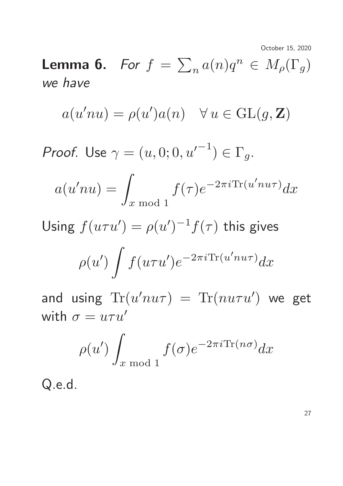**Lemma 6.** For  $f = \sum_n a(n)q^n \in M_\rho(\Gamma_g)$ we have

$$
a(u'nu) = \rho(u')a(n) \quad \forall u \in GL(g, \mathbf{Z})
$$

*Proof.* Use  $\gamma = (u, 0; 0, u'^{-1}) \in \Gamma_g$ .

$$
a(u'nu) = \int_{x \bmod 1} f(\tau) e^{-2\pi i \text{Tr}(u'nu\tau)} dx
$$

Using  $f(u\tau u') = \rho(u')^{-1}f(\tau)$  this gives

$$
\rho(u') \int f(u\tau u') e^{-2\pi i \text{Tr}(u'nu\tau)} dx
$$

and using  $\text{Tr}(u'nu\tau) = \text{Tr}(nu\tau u')$  we get with  $\sigma = u \tau u'$ 

$$
\rho(u') \int_{x \bmod 1} f(\sigma) e^{-2\pi i \text{Tr}(n\sigma)} dx
$$

Q.e.d.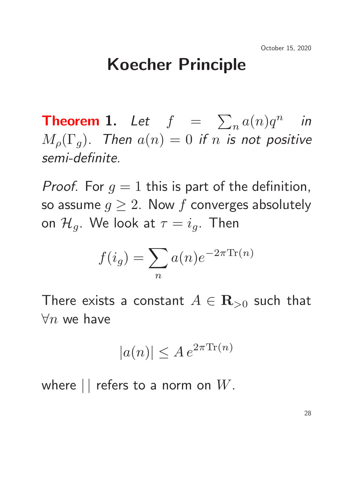# Koecher Principle

**Theorem 1.** Let  $f = \sum_n a(n)q^n$  in  $M_{\rho}(\Gamma_q)$ . Then  $a(n) = 0$  if n is not positive semi-definite.

*Proof.* For  $q = 1$  this is part of the definition, so assume  $g \geq 2$ . Now f converges absolutely on  $\mathcal{H}_q$ . We look at  $\tau = i_q$ . Then

$$
f(i_g) = \sum_n a(n)e^{-2\pi \text{Tr}(n)}
$$

There exists a constant  $A \in \mathbf{R}_{>0}$  such that  $\forall n$  we have

$$
|a(n)| \le A e^{2\pi \text{Tr}(n)}
$$

where  $||$  refers to a norm on  $W$ .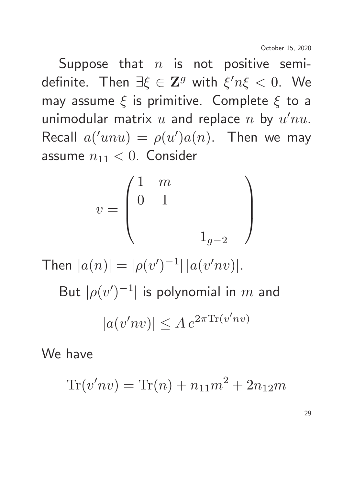Suppose that  $n$  is not positive semidefinite. Then  $\exists \xi \in \mathbf{Z}^g$  with  $\xi'n\xi < 0$ . We may assume  $\xi$  is primitive. Complete  $\xi$  to a unimodular matrix  $u$  and replace  $n$  by  $u'nu$ . Recall  $a('unu) = \rho(u')a(n)$ . Then we may assume  $n_{11} < 0$ . Consider

$$
v = \begin{pmatrix} 1 & m & & & \\ 0 & 1 & & & \\ & & & 1_{g-2} & \end{pmatrix}
$$

Then  $|a(n)| = |\rho(v')^{-1}| |a(v'nv)|$ .

But  $|\rho(v')^{-1}|$  is polynomial in  $m$  and

$$
|a(v'nv)| \le A e^{2\pi \text{Tr}(v'nv)}
$$

We have

$$
\text{Tr}(v'nv) = \text{Tr}(n) + n_{11}m^2 + 2n_{12}m
$$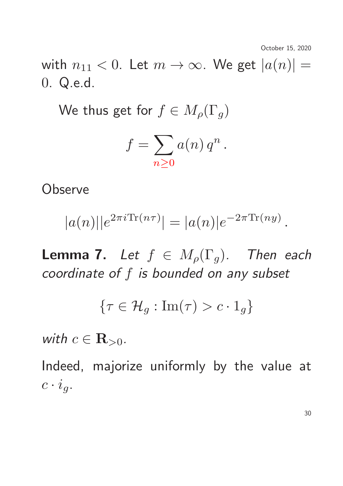.

with  $n_{11} < 0$ . Let  $m \to \infty$ . We get  $|a(n)| =$ 0. Q.e.d.

We thus get for  $f \in M_\rho(\Gamma_q)$ 

$$
f = \sum_{n \geq 0} a(n) q^n.
$$

**Observe** 

$$
|a(n)||e^{2\pi i \text{Tr}(n\tau)}| = |a(n)|e^{-2\pi \text{Tr}(ny)}
$$

**Lemma 7.** Let  $f \in M_\rho(\Gamma_q)$ . Then each coordinate of  $f$  is bounded on any subset

$$
\{\tau \in \mathcal{H}_g : \text{Im}(\tau) > c \cdot 1_g\}
$$

with  $c \in \mathbf{R}_{>0}$ .

Indeed, majorize uniformly by the value at  $c \cdot i_q$ .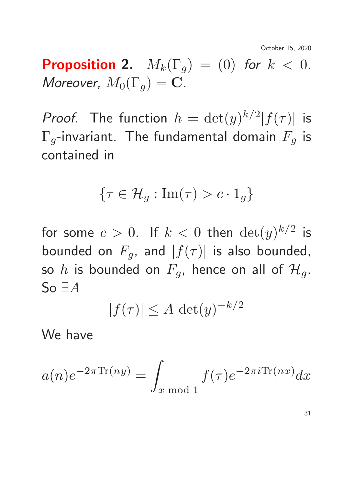**Proposition 2.**  $M_k(\Gamma_g) = (0)$  for  $k < 0$ . Moreover,  $M_0(\Gamma_q) = \mathbf{C}$ .

*Proof.* The function  $h = \det(y)^{k/2} |f(\tau)|$  is  $\Gamma_g$ -invariant. The fundamental domain  $F_g$  is contained in

$$
\{\tau \in \mathcal{H}_g : \text{Im}(\tau) > c \cdot 1_g\}
$$

for some  $c>0.$  If  $k< 0$  then  $\det(y)^{k/2}$  is bounded on  $F_q$ , and  $|f(\tau)|$  is also bounded, so h is bounded on  $F_q$ , hence on all of  $\mathcal{H}_q$ . So  $\exists A$ 

$$
|f(\tau)| \le A \det(y)^{-k/2}
$$

We have

$$
a(n)e^{-2\pi \text{Tr}(ny)} = \int_{x \bmod 1} f(\tau)e^{-2\pi i \text{Tr}(nx)} dx
$$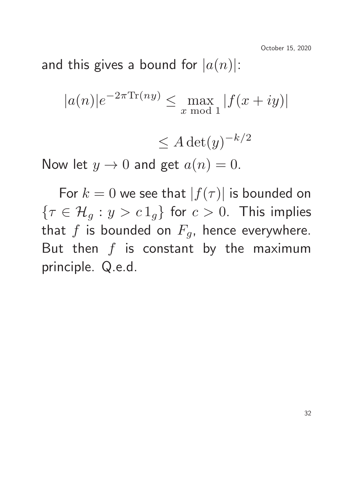and this gives a bound for  $|a(n)|$ :

$$
|a(n)|e^{-2\pi \text{Tr}(ny)} \le \max_{x \bmod 1} |f(x+iy)|
$$

$$
\leq A \det(y)^{-k/2}
$$

Now let  $y \to 0$  and get  $a(n) = 0$ .

For  $k = 0$  we see that  $|f(\tau)|$  is bounded on  $\{\tau \in \mathcal{H}_q : y > c 1_q\}$  for  $c > 0$ . This implies that  $f$  is bounded on  $F_g$ , hence everywhere. But then  $f$  is constant by the maximum principle. Q.e.d.